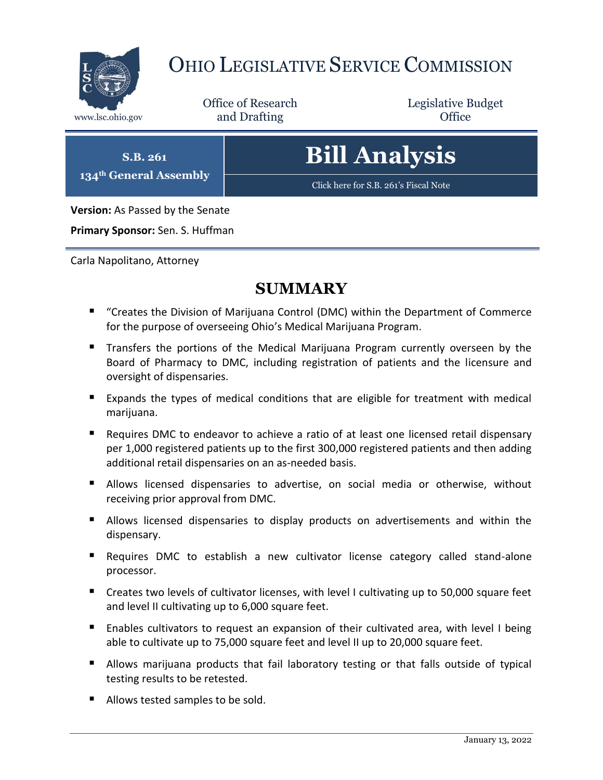

# OHIO LEGISLATIVE SERVICE COMMISSION

Office of Research www.lsc.ohio.gov **and Drafting Office** 

Legislative Budget

**S.B. 261 134th General Assembly**

# **Bill Analysis**

[Click here for S.B. 261](https://www.legislature.ohio.gov/legislation/legislation-documents?id=GA134-SB-261)'s Fiscal Note

**Version:** As Passed by the Senate

**Primary Sponsor:** Sen. S. Huffman

Carla Napolitano, Attorney

# **SUMMARY**

- "Creates the Division of Marijuana Control (DMC) within the Department of Commerce for the purpose of overseeing Ohio's Medical Marijuana Program.
- **Transfers the portions of the Medical Marijuana Program currently overseen by the** Board of Pharmacy to DMC, including registration of patients and the licensure and oversight of dispensaries.
- Expands the types of medical conditions that are eligible for treatment with medical marijuana.
- Requires DMC to endeavor to achieve a ratio of at least one licensed retail dispensary per 1,000 registered patients up to the first 300,000 registered patients and then adding additional retail dispensaries on an as-needed basis.
- Allows licensed dispensaries to advertise, on social media or otherwise, without receiving prior approval from DMC.
- Allows licensed dispensaries to display products on advertisements and within the dispensary.
- Requires DMC to establish a new cultivator license category called stand-alone processor.
- Creates two levels of cultivator licenses, with level I cultivating up to 50,000 square feet and level II cultivating up to 6,000 square feet.
- Enables cultivators to request an expansion of their cultivated area, with level I being able to cultivate up to 75,000 square feet and level II up to 20,000 square feet.
- **Allows marijuana products that fail laboratory testing or that falls outside of typical** testing results to be retested.
- Allows tested samples to be sold.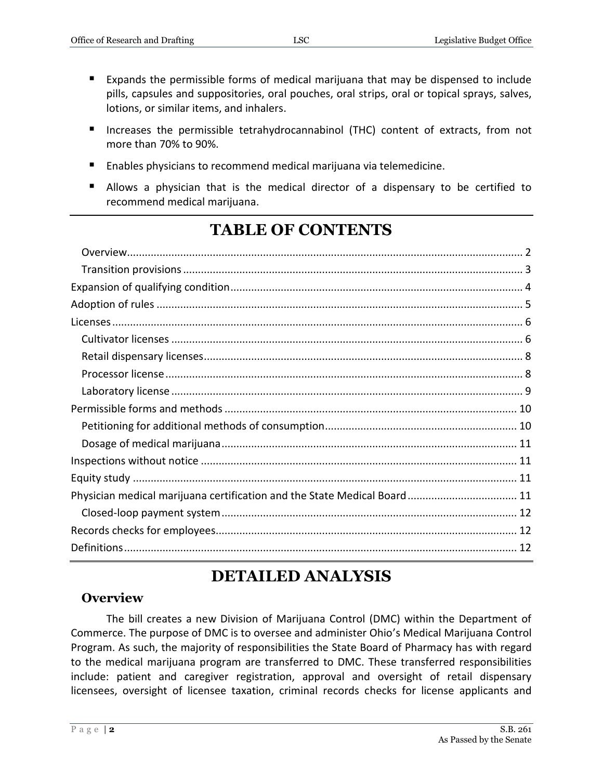- Expands the permissible forms of medical marijuana that may be dispensed to include pills, capsules and suppositories, oral pouches, oral strips, oral or topical sprays, salves, lotions, or similar items, and inhalers.
- **Increases the permissible tetrahydrocannabinol (THC) content of extracts, from not** more than 70% to 90%.
- Enables physicians to recommend medical marijuana via telemedicine.
- Allows a physician that is the medical director of a dispensary to be certified to recommend medical marijuana.

# **TABLE OF CONTENTS**

| Physician medical marijuana certification and the State Medical Board 11 |  |
|--------------------------------------------------------------------------|--|
|                                                                          |  |
|                                                                          |  |
|                                                                          |  |

# **DETAILED ANALYSIS**

#### <span id="page-1-0"></span>**Overview**

The bill creates a new Division of Marijuana Control (DMC) within the Department of Commerce. The purpose of DMC is to oversee and administer Ohio's Medical Marijuana Control Program. As such, the majority of responsibilities the State Board of Pharmacy has with regard to the medical marijuana program are transferred to DMC. These transferred responsibilities include: patient and caregiver registration, approval and oversight of retail dispensary licensees, oversight of licensee taxation, criminal records checks for license applicants and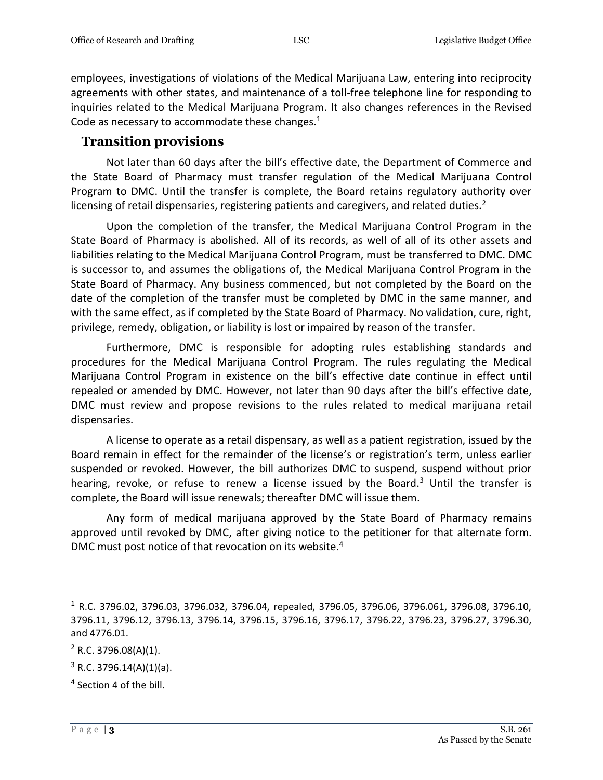employees, investigations of violations of the Medical Marijuana Law, entering into reciprocity agreements with other states, and maintenance of a toll-free telephone line for responding to inquiries related to the Medical Marijuana Program. It also changes references in the Revised Code as necessary to accommodate these changes. $1$ 

#### <span id="page-2-0"></span>**Transition provisions**

Not later than 60 days after the bill's effective date, the Department of Commerce and the State Board of Pharmacy must transfer regulation of the Medical Marijuana Control Program to DMC. Until the transfer is complete, the Board retains regulatory authority over licensing of retail dispensaries, registering patients and caregivers, and related duties.<sup>2</sup>

Upon the completion of the transfer, the Medical Marijuana Control Program in the State Board of Pharmacy is abolished. All of its records, as well of all of its other assets and liabilities relating to the Medical Marijuana Control Program, must be transferred to DMC. DMC is successor to, and assumes the obligations of, the Medical Marijuana Control Program in the State Board of Pharmacy. Any business commenced, but not completed by the Board on the date of the completion of the transfer must be completed by DMC in the same manner, and with the same effect, as if completed by the State Board of Pharmacy. No validation, cure, right, privilege, remedy, obligation, or liability is lost or impaired by reason of the transfer.

Furthermore, DMC is responsible for adopting rules establishing standards and procedures for the Medical Marijuana Control Program. The rules regulating the Medical Marijuana Control Program in existence on the bill's effective date continue in effect until repealed or amended by DMC. However, not later than 90 days after the bill's effective date, DMC must review and propose revisions to the rules related to medical marijuana retail dispensaries.

A license to operate as a retail dispensary, as well as a patient registration, issued by the Board remain in effect for the remainder of the license's or registration's term, unless earlier suspended or revoked. However, the bill authorizes DMC to suspend, suspend without prior hearing, revoke, or refuse to renew a license issued by the Board.<sup>3</sup> Until the transfer is complete, the Board will issue renewals; thereafter DMC will issue them.

Any form of medical marijuana approved by the State Board of Pharmacy remains approved until revoked by DMC, after giving notice to the petitioner for that alternate form. DMC must post notice of that revocation on its website.<sup>4</sup>

<sup>1</sup> R.C. 3796.02, 3796.03, 3796.032, 3796.04, repealed, 3796.05, 3796.06, 3796.061, 3796.08, 3796.10, 3796.11, 3796.12, 3796.13, 3796.14, 3796.15, 3796.16, 3796.17, 3796.22, 3796.23, 3796.27, 3796.30, and 4776.01.

 $2$  R.C. 3796.08(A)(1).

 $3$  R.C. 3796.14(A)(1)(a).

<sup>&</sup>lt;sup>4</sup> Section 4 of the bill.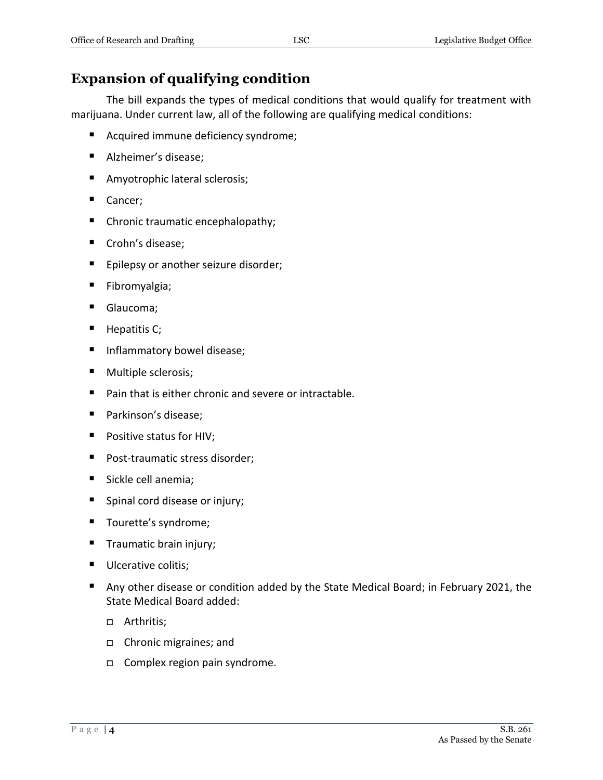# <span id="page-3-0"></span>**Expansion of qualifying condition**

The bill expands the types of medical conditions that would qualify for treatment with marijuana. Under current law, all of the following are qualifying medical conditions:

- Acquired immune deficiency syndrome;
- Alzheimer's disease;
- **Amyotrophic lateral sclerosis;**
- Cancer;
- Chronic traumatic encephalopathy;
- Crohn's disease;
- **Epilepsy or another seizure disorder;**
- **Fibromyalgia**;
- Glaucoma;
- $\blacksquare$  Hepatitis C;
- **Inflammatory bowel disease;**
- **Multiple sclerosis;**
- Pain that is either chronic and severe or intractable.
- Parkinson's disease;
- **Positive status for HIV;**
- **Post-traumatic stress disorder;**
- Sickle cell anemia;
- Spinal cord disease or injury;
- Tourette's syndrome;
- **Traumatic brain injury;**
- **Ulcerative colitis;**
- Any other disease or condition added by the State Medical Board; in February 2021, the State Medical Board added:
	- □ Arthritis;
	- Chronic migraines; and
	- □ Complex region pain syndrome.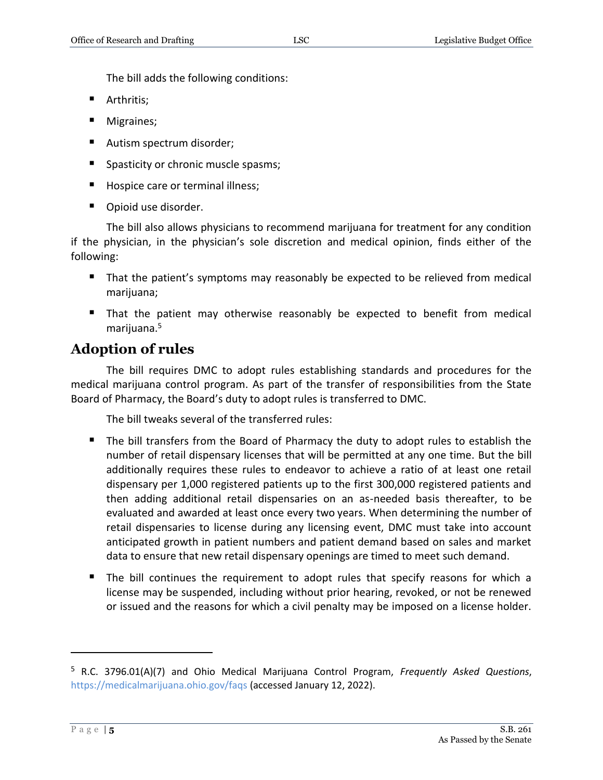The bill adds the following conditions:

- **Arthritis;**
- **Migraines**;
- Autism spectrum disorder;
- **Spasticity or chronic muscle spasms;**
- Hospice care or terminal illness;
- Opioid use disorder.

The bill also allows physicians to recommend marijuana for treatment for any condition if the physician, in the physician's sole discretion and medical opinion, finds either of the following:

- That the patient's symptoms may reasonably be expected to be relieved from medical marijuana;
- That the patient may otherwise reasonably be expected to benefit from medical marijuana.<sup>5</sup>

# <span id="page-4-0"></span>**Adoption of rules**

 $\overline{a}$ 

The bill requires DMC to adopt rules establishing standards and procedures for the medical marijuana control program. As part of the transfer of responsibilities from the State Board of Pharmacy, the Board's duty to adopt rules is transferred to DMC.

The bill tweaks several of the transferred rules:

- The bill transfers from the Board of Pharmacy the duty to adopt rules to establish the number of retail dispensary licenses that will be permitted at any one time. But the bill additionally requires these rules to endeavor to achieve a ratio of at least one retail dispensary per 1,000 registered patients up to the first 300,000 registered patients and then adding additional retail dispensaries on an as-needed basis thereafter, to be evaluated and awarded at least once every two years. When determining the number of retail dispensaries to license during any licensing event, DMC must take into account anticipated growth in patient numbers and patient demand based on sales and market data to ensure that new retail dispensary openings are timed to meet such demand.
- The bill continues the requirement to adopt rules that specify reasons for which a license may be suspended, including without prior hearing, revoked, or not be renewed or issued and the reasons for which a civil penalty may be imposed on a license holder.

<sup>5</sup> R.C. 3796.01(A)(7) and Ohio Medical Marijuana Control Program, *Frequently Asked Questions*, <https://medicalmarijuana.ohio.gov/faqs> (accessed January 12, 2022).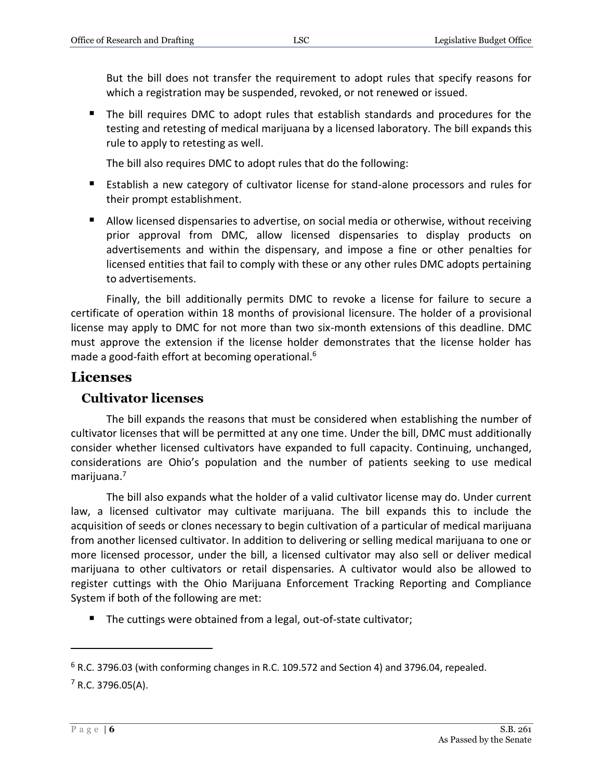But the bill does not transfer the requirement to adopt rules that specify reasons for which a registration may be suspended, revoked, or not renewed or issued.

 The bill requires DMC to adopt rules that establish standards and procedures for the testing and retesting of medical marijuana by a licensed laboratory. The bill expands this rule to apply to retesting as well.

The bill also requires DMC to adopt rules that do the following:

- Establish a new category of cultivator license for stand-alone processors and rules for their prompt establishment.
- Allow licensed dispensaries to advertise, on social media or otherwise, without receiving prior approval from DMC, allow licensed dispensaries to display products on advertisements and within the dispensary, and impose a fine or other penalties for licensed entities that fail to comply with these or any other rules DMC adopts pertaining to advertisements.

Finally, the bill additionally permits DMC to revoke a license for failure to secure a certificate of operation within 18 months of provisional licensure. The holder of a provisional license may apply to DMC for not more than two six-month extensions of this deadline. DMC must approve the extension if the license holder demonstrates that the license holder has made a good-faith effort at becoming operational.<sup>6</sup>

## <span id="page-5-0"></span>**Licenses**

#### <span id="page-5-1"></span>**Cultivator licenses**

The bill expands the reasons that must be considered when establishing the number of cultivator licenses that will be permitted at any one time. Under the bill, DMC must additionally consider whether licensed cultivators have expanded to full capacity. Continuing, unchanged, considerations are Ohio's population and the number of patients seeking to use medical marijuana. 7

The bill also expands what the holder of a valid cultivator license may do. Under current law, a licensed cultivator may cultivate marijuana. The bill expands this to include the acquisition of seeds or clones necessary to begin cultivation of a particular of medical marijuana from another licensed cultivator. In addition to delivering or selling medical marijuana to one or more licensed processor, under the bill, a licensed cultivator may also sell or deliver medical marijuana to other cultivators or retail dispensaries. A cultivator would also be allowed to register cuttings with the Ohio Marijuana Enforcement Tracking Reporting and Compliance System if both of the following are met:

■ The cuttings were obtained from a legal, out-of-state cultivator;

 $6$  R.C. 3796.03 (with conforming changes in R.C. 109.572 and Section 4) and 3796.04, repealed.  $7$  R.C. 3796.05(A).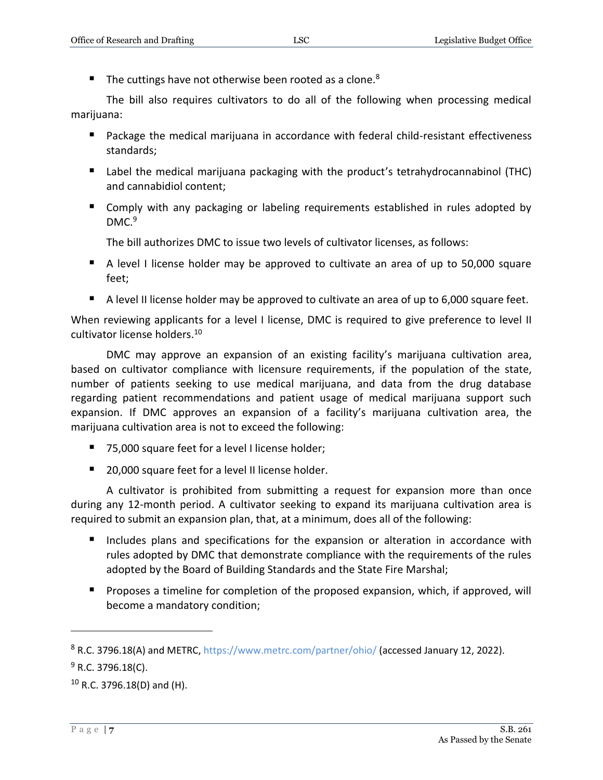The cuttings have not otherwise been rooted as a clone.<sup>8</sup>

The bill also requires cultivators to do all of the following when processing medical marijuana:

- Package the medical marijuana in accordance with federal child-resistant effectiveness standards;
- Label the medical marijuana packaging with the product's tetrahydrocannabinol (THC) and cannabidiol content;
- Comply with any packaging or labeling requirements established in rules adopted by DMC.<sup>9</sup>

The bill authorizes DMC to issue two levels of cultivator licenses, as follows:

- A level I license holder may be approved to cultivate an area of up to 50,000 square feet;
- A level II license holder may be approved to cultivate an area of up to 6,000 square feet.

When reviewing applicants for a level I license, DMC is required to give preference to level II cultivator license holders.<sup>10</sup>

DMC may approve an expansion of an existing facility's marijuana cultivation area, based on cultivator compliance with licensure requirements, if the population of the state, number of patients seeking to use medical marijuana, and data from the drug database regarding patient recommendations and patient usage of medical marijuana support such expansion. If DMC approves an expansion of a facility's marijuana cultivation area, the marijuana cultivation area is not to exceed the following:

- 75,000 square feet for a level I license holder;
- 20,000 square feet for a level II license holder.

A cultivator is prohibited from submitting a request for expansion more than once during any 12-month period. A cultivator seeking to expand its marijuana cultivation area is required to submit an expansion plan, that, at a minimum, does all of the following:

- Includes plans and specifications for the expansion or alteration in accordance with rules adopted by DMC that demonstrate compliance with the requirements of the rules adopted by the Board of Building Standards and the State Fire Marshal;
- **Proposes a timeline for completion of the proposed expansion, which, if approved, will** become a mandatory condition;

<sup>8</sup> R.C. 3796.18(A) and METRC[, https://www.metrc.com/partner/ohio/](https://www.metrc.com/partner/ohio/) (accessed January 12, 2022).

 $9$  R.C. 3796.18(C).

<sup>10</sup> R.C. 3796.18(D) and (H).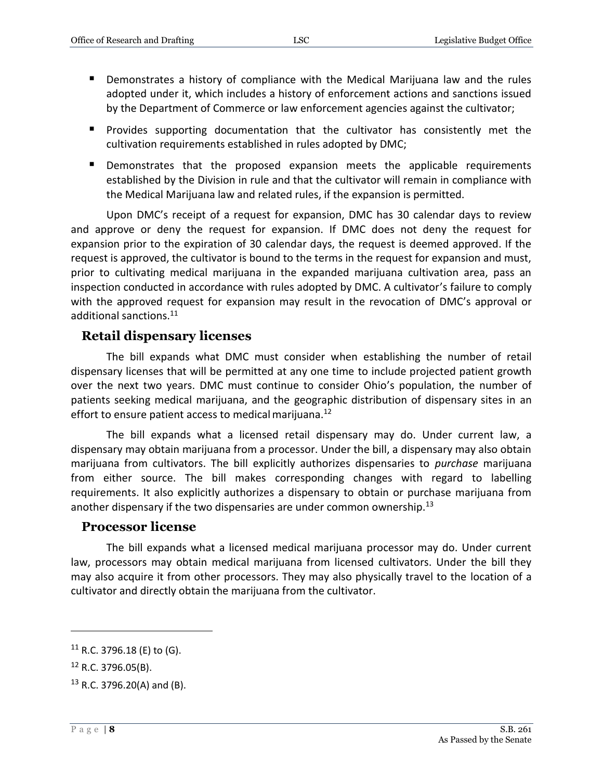- Demonstrates a history of compliance with the Medical Marijuana law and the rules adopted under it, which includes a history of enforcement actions and sanctions issued by the Department of Commerce or law enforcement agencies against the cultivator;
- **Provides supporting documentation that the cultivator has consistently met the** cultivation requirements established in rules adopted by DMC;
- Demonstrates that the proposed expansion meets the applicable requirements established by the Division in rule and that the cultivator will remain in compliance with the Medical Marijuana law and related rules, if the expansion is permitted.

Upon DMC's receipt of a request for expansion, DMC has 30 calendar days to review and approve or deny the request for expansion. If DMC does not deny the request for expansion prior to the expiration of 30 calendar days, the request is deemed approved. If the request is approved, the cultivator is bound to the terms in the request for expansion and must, prior to cultivating medical marijuana in the expanded marijuana cultivation area, pass an inspection conducted in accordance with rules adopted by DMC. A cultivator's failure to comply with the approved request for expansion may result in the revocation of DMC's approval or additional sanctions.<sup>11</sup>

#### <span id="page-7-0"></span>**Retail dispensary licenses**

The bill expands what DMC must consider when establishing the number of retail dispensary licenses that will be permitted at any one time to include projected patient growth over the next two years. DMC must continue to consider Ohio's population, the number of patients seeking medical marijuana, and the geographic distribution of dispensary sites in an effort to ensure patient access to medical marijuana.<sup>12</sup>

The bill expands what a licensed retail dispensary may do. Under current law, a dispensary may obtain marijuana from a processor. Under the bill, a dispensary may also obtain marijuana from cultivators. The bill explicitly authorizes dispensaries to *purchase* marijuana from either source. The bill makes corresponding changes with regard to labelling requirements. It also explicitly authorizes a dispensary to obtain or purchase marijuana from another dispensary if the two dispensaries are under common ownership.<sup>13</sup>

#### <span id="page-7-1"></span>**Processor license**

The bill expands what a licensed medical marijuana processor may do. Under current law, processors may obtain medical marijuana from licensed cultivators. Under the bill they may also acquire it from other processors. They may also physically travel to the location of a cultivator and directly obtain the marijuana from the cultivator.

 $11$  R.C. 3796.18 (E) to (G).

<sup>12</sup> R.C. 3796.05(B).

 $13$  R.C. 3796.20(A) and (B).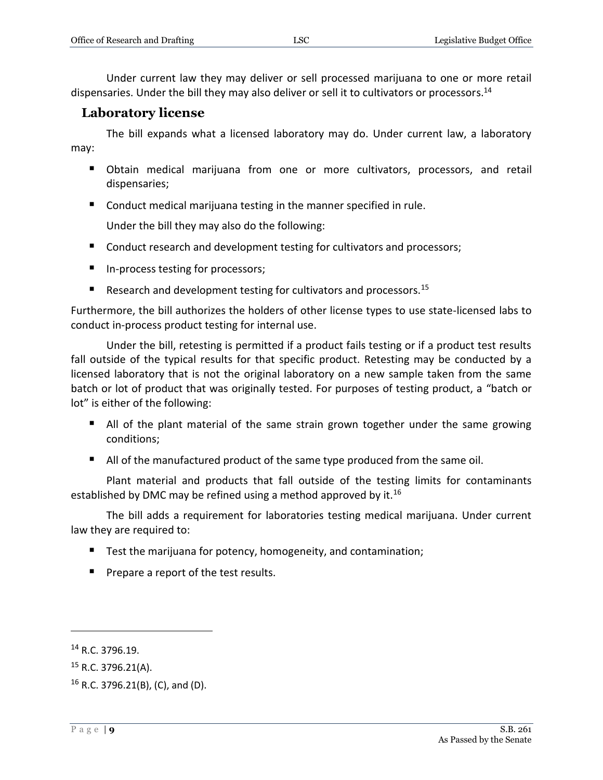Under current law they may deliver or sell processed marijuana to one or more retail dispensaries. Under the bill they may also deliver or sell it to cultivators or processors.<sup>14</sup>

#### <span id="page-8-0"></span>**Laboratory license**

The bill expands what a licensed laboratory may do. Under current law, a laboratory may:

- Obtain medical marijuana from one or more cultivators, processors, and retail dispensaries;
- Conduct medical marijuana testing in the manner specified in rule.

Under the bill they may also do the following:

- Conduct research and development testing for cultivators and processors;
- In-process testing for processors;
- Research and development testing for cultivators and processors.<sup>15</sup>

Furthermore, the bill authorizes the holders of other license types to use state-licensed labs to conduct in-process product testing for internal use.

Under the bill, retesting is permitted if a product fails testing or if a product test results fall outside of the typical results for that specific product. Retesting may be conducted by a licensed laboratory that is not the original laboratory on a new sample taken from the same batch or lot of product that was originally tested. For purposes of testing product, a "batch or lot" is either of the following:

- All of the plant material of the same strain grown together under the same growing conditions;
- I All of the manufactured product of the same type produced from the same oil.

Plant material and products that fall outside of the testing limits for contaminants established by DMC may be refined using a method approved by it.<sup>16</sup>

The bill adds a requirement for laboratories testing medical marijuana. Under current law they are required to:

- Test the marijuana for potency, homogeneity, and contamination;
- **Prepare a report of the test results.**

<sup>14</sup> R.C. 3796.19.

 $15$  R.C. 3796.21(A).

<sup>16</sup> R.C. 3796.21(B), (C), and (D).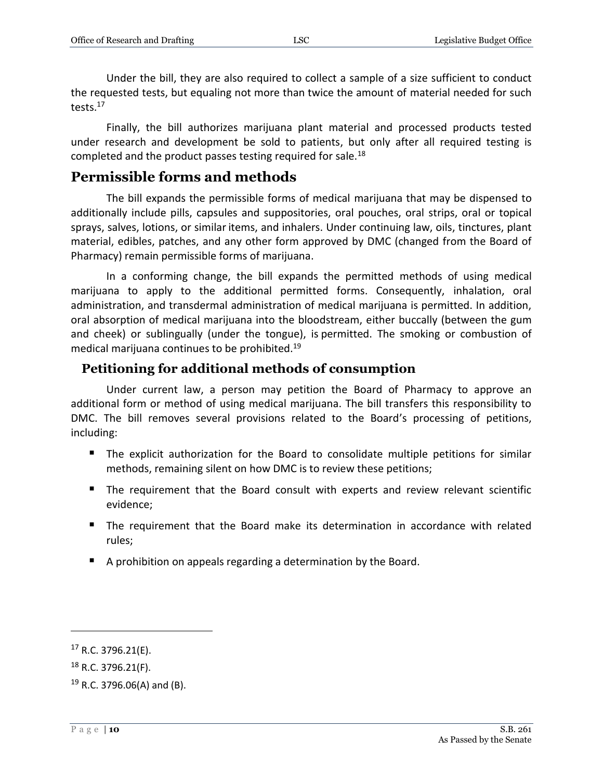Under the bill, they are also required to collect a sample of a size sufficient to conduct the requested tests, but equaling not more than twice the amount of material needed for such tests.<sup>17</sup>

Finally, the bill authorizes marijuana plant material and processed products tested under research and development be sold to patients, but only after all required testing is completed and the product passes testing required for sale.<sup>18</sup>

## <span id="page-9-0"></span>**Permissible forms and methods**

The bill expands the permissible forms of medical marijuana that may be dispensed to additionally include pills, capsules and suppositories, oral pouches, oral strips, oral or topical sprays, salves, lotions, or similar items, and inhalers. Under continuing law, oils, tinctures, plant material, edibles, patches, and any other form approved by DMC (changed from the Board of Pharmacy) remain permissible forms of marijuana.

In a conforming change, the bill expands the permitted methods of using medical marijuana to apply to the additional permitted forms. Consequently, inhalation, oral administration, and transdermal administration of medical marijuana is permitted. In addition, oral absorption of medical marijuana into the bloodstream, either buccally (between the gum and cheek) or sublingually (under the tongue), is permitted. The smoking or combustion of medical marijuana continues to be prohibited.<sup>19</sup>

#### <span id="page-9-1"></span>**Petitioning for additional methods of consumption**

Under current law, a person may petition the Board of Pharmacy to approve an additional form or method of using medical marijuana. The bill transfers this responsibility to DMC. The bill removes several provisions related to the Board's processing of petitions, including:

- The explicit authorization for the Board to consolidate multiple petitions for similar methods, remaining silent on how DMC is to review these petitions;
- The requirement that the Board consult with experts and review relevant scientific evidence;
- The requirement that the Board make its determination in accordance with related rules;
- A prohibition on appeals regarding a determination by the Board.

 $17$  R.C. 3796.21(E).

<sup>18</sup> R.C. 3796.21(F).

<sup>19</sup> R.C. 3796.06(A) and (B).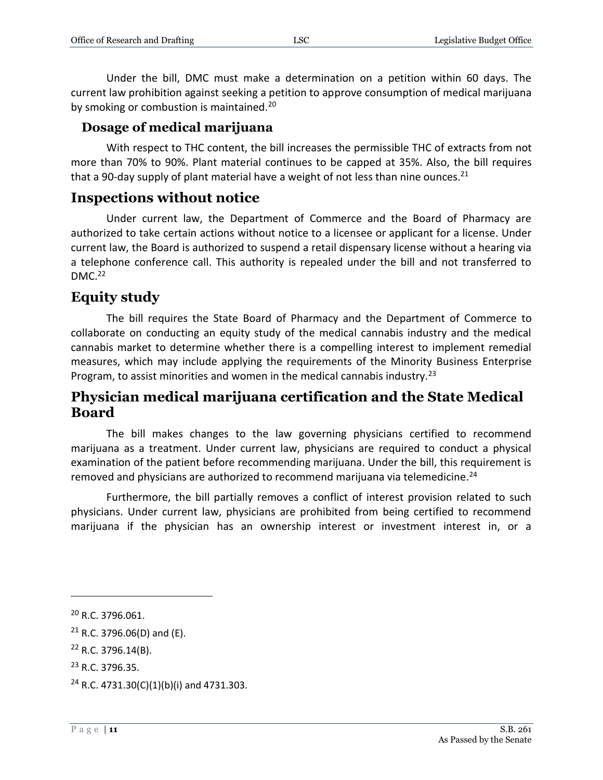Under the bill, DMC must make a determination on a petition within 60 days. The current law prohibition against seeking a petition to approve consumption of medical marijuana by smoking or combustion is maintained.<sup>20</sup>

#### <span id="page-10-0"></span>**Dosage of medical marijuana**

With respect to THC content, the bill increases the permissible THC of extracts from not more than 70% to 90%. Plant material continues to be capped at 35%. Also, the bill requires that a 90-day supply of plant material have a weight of not less than nine ounces.<sup>21</sup>

#### <span id="page-10-1"></span>**Inspections without notice**

Under current law, the Department of Commerce and the Board of Pharmacy are authorized to take certain actions without notice to a licensee or applicant for a license. Under current law, the Board is authorized to suspend a retail dispensary license without a hearing via a telephone conference call. This authority is repealed under the bill and not transferred to  $DMC.<sub>22</sub>$ 

## <span id="page-10-2"></span>**Equity study**

The bill requires the State Board of Pharmacy and the Department of Commerce to collaborate on conducting an equity study of the medical cannabis industry and the medical cannabis market to determine whether there is a compelling interest to implement remedial measures, which may include applying the requirements of the Minority Business Enterprise Program, to assist minorities and women in the medical cannabis industry.<sup>23</sup>

## <span id="page-10-3"></span>**Physician medical marijuana certification and the State Medical Board**

The bill makes changes to the law governing physicians certified to recommend marijuana as a treatment. Under current law, physicians are required to conduct a physical examination of the patient before recommending marijuana. Under the bill, this requirement is removed and physicians are authorized to recommend marijuana via telemedicine.<sup>24</sup>

Furthermore, the bill partially removes a conflict of interest provision related to such physicians. Under current law, physicians are prohibited from being certified to recommend marijuana if the physician has an ownership interest or investment interest in, or a

<sup>20</sup> R.C. 3796.061.

 $21$  R.C. 3796.06(D) and (E).

 $22$  R.C. 3796.14(B).

<sup>23</sup> R.C. 3796.35.

<sup>&</sup>lt;sup>24</sup> R.C. 4731.30(C)(1)(b)(i) and 4731.303.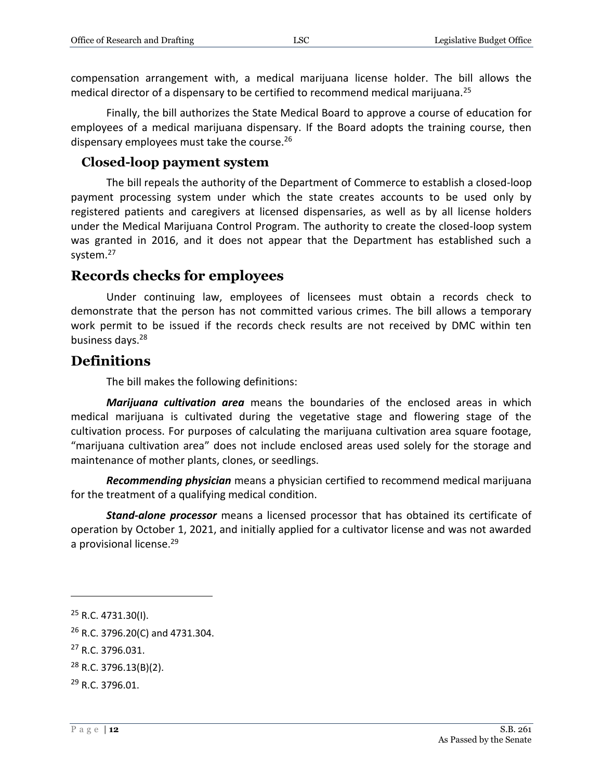compensation arrangement with, a medical marijuana license holder. The bill allows the medical director of a dispensary to be certified to recommend medical marijuana.<sup>25</sup>

Finally, the bill authorizes the State Medical Board to approve a course of education for employees of a medical marijuana dispensary. If the Board adopts the training course, then dispensary employees must take the course.<sup>26</sup>

#### <span id="page-11-0"></span>**Closed-loop payment system**

The bill repeals the authority of the Department of Commerce to establish a closed-loop payment processing system under which the state creates accounts to be used only by registered patients and caregivers at licensed dispensaries, as well as by all license holders under the Medical Marijuana Control Program. The authority to create the closed-loop system was granted in 2016, and it does not appear that the Department has established such a system.<sup>27</sup>

## <span id="page-11-1"></span>**Records checks for employees**

Under continuing law, employees of licensees must obtain a records check to demonstrate that the person has not committed various crimes. The bill allows a temporary work permit to be issued if the records check results are not received by DMC within ten business days.<sup>28</sup>

## <span id="page-11-2"></span>**Definitions**

The bill makes the following definitions:

*Marijuana cultivation area* means the boundaries of the enclosed areas in which medical marijuana is cultivated during the vegetative stage and flowering stage of the cultivation process. For purposes of calculating the marijuana cultivation area square footage, "marijuana cultivation area" does not include enclosed areas used solely for the storage and maintenance of mother plants, clones, or seedlings.

*Recommending physician* means a physician certified to recommend medical marijuana for the treatment of a qualifying medical condition.

*Stand-alone processor* means a licensed processor that has obtained its certificate of operation by October 1, 2021, and initially applied for a cultivator license and was not awarded a provisional license.<sup>29</sup>

<sup>25</sup> R.C. 4731.30(I).

 $26$  R.C. 3796.20(C) and 4731.304.

<sup>27</sup> R.C. 3796.031.

 $28$  R.C. 3796.13(B)(2).

<sup>29</sup> R.C. 3796.01.